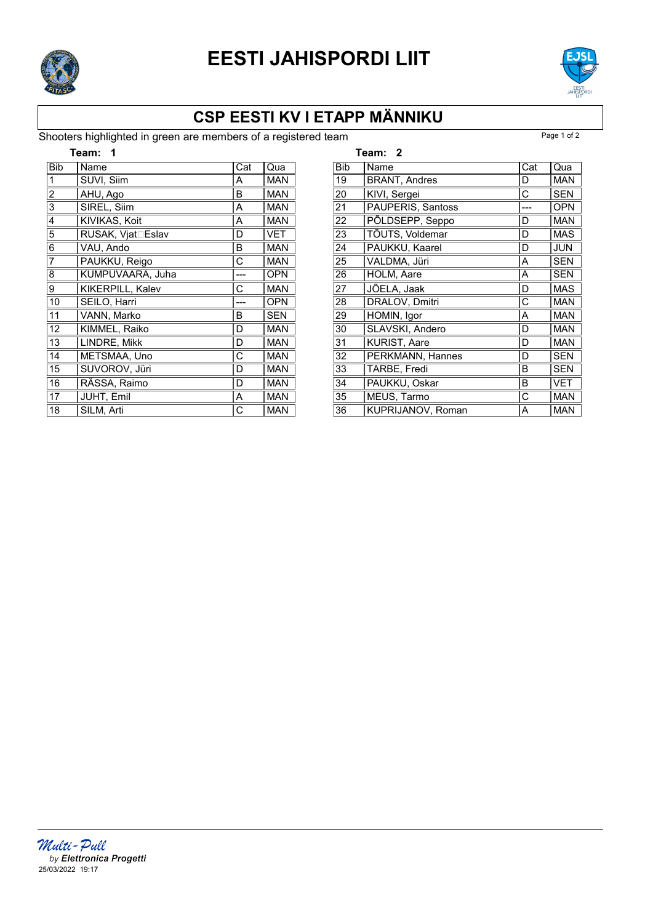

# EESTI JAHISPORDI LIIT



### CSP EESTI KV I ETAPP MÄNNIKU

#### Shooters highlighted in green are members of a registered team

| Team:          |                   |     |            |
|----------------|-------------------|-----|------------|
| <b>Bib</b>     | Name              | Cat | Qua        |
| 1              | SUVI, Siim        | А   | <b>MAN</b> |
| $\overline{c}$ | AHU, Ago          | B   | <b>MAN</b> |
| 3              | SIREL, Siim       | Α   | <b>MAN</b> |
| 4              | KIVIKAS, Koit     | Α   | <b>MAN</b> |
| 5              | RUSAK, Vjat⊡Eslav | D   | <b>VET</b> |
| 6              | VAU, Ando         | B   | <b>MAN</b> |
| 7              | PAUKKU, Reigo     | С   | <b>MAN</b> |
| 8              | KUMPUVAARA, Juha  |     | <b>OPN</b> |
| 9              | KIKERPILL, Kalev  | С   | <b>MAN</b> |
| 10             | SEILO, Harri      |     | <b>OPN</b> |
| 11             | VANN, Marko       | B   | <b>SEN</b> |
| 12             | KIMMEL, Raiko     | D   | <b>MAN</b> |
| 13             | LINDRE, Mikk      | D   | <b>MAN</b> |
| 14             | METSMAA, Uno      | С   | <b>MAN</b> |
| 15             | SUVOROV, Jüri     | D   | <b>MAN</b> |
| 16             | RÄSSA, Raimo      | D   | <b>MAN</b> |
| 17             | JUHT, Emil        | Α   | <b>MAN</b> |
| 18             | SILM, Arti        | С   | <b>MAN</b> |

|            | Team: 2                  |     |            |
|------------|--------------------------|-----|------------|
| <b>Bib</b> | Name                     | Cat | Qua        |
| 19         | <b>BRANT, Andres</b>     | D   | <b>MAN</b> |
| 20         | KIVI, Sergei             | С   | SEN        |
| 21         | PAUPERIS, Santoss        |     | <b>OPN</b> |
| 22         | PÕLDSEPP, Seppo          | D   | <b>MAN</b> |
| 23         | TÕUTS, Voldemar          | D   | <b>MAS</b> |
| 24         | PAUKKU, Kaarel           | D   | <b>JUN</b> |
| 25         | VALDMA, Jüri             | A   | SEN        |
| 26         | HOLM, Aare               | A   | SEN        |
| 27         | JÕELA, Jaak              | D   | <b>MAS</b> |
| 28         | DRALOV, Dmitri           | C   | <b>MAN</b> |
| 29         | HOMIN, Igor              | Α   | <b>MAN</b> |
| 30         | SLAVSKI, Andero          | D   | <b>MAN</b> |
| 31         | <b>KURIST, Aare</b>      | D   | <b>MAN</b> |
| 32         | PERKMANN, Hannes         | D   | <b>SEN</b> |
| 33         | TARBE, Fredi             | в   | <b>SEN</b> |
| 34         | PAUKKU, Oskar            | В   | <b>VET</b> |
| 35         | MEUS, Tarmo              | С   | <b>MAN</b> |
| 36         | <b>KUPRIJANOV, Roman</b> | A   | <b>MAN</b> |